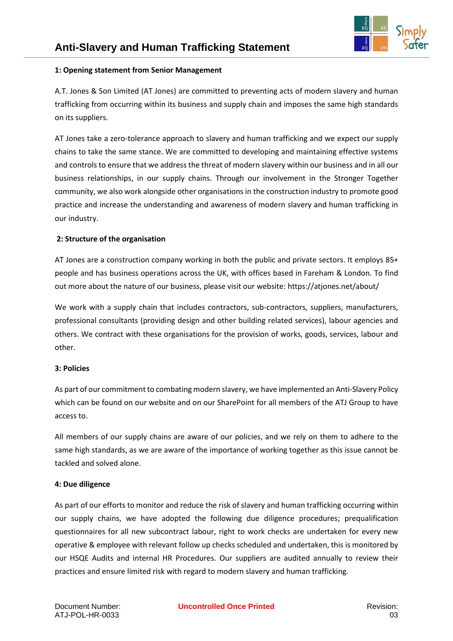## **1: Opening statement from Senior Management**

A.T. Jones & Son Limited (AT Jones) are committed to preventing acts of modern slavery and human trafficking from occurring within its business and supply chain and imposes the same high standards on its suppliers.

AT Jones take a zero-tolerance approach to slavery and human trafficking and we expect our supply chains to take the same stance. We are committed to developing and maintaining effective systems and controls to ensure that we address the threat of modern slavery within our business and in all our business relationships, in our supply chains. Through our involvement in the Stronger Together community, we also work alongside other organisations in the construction industry to promote good practice and increase the understanding and awareness of modern slavery and human trafficking in our industry.

## **2: Structure of the organisation**

AT Jones are a construction company working in both the public and private sectors. It employs 85+ people and has business operations across the UK, with offices based in Fareham & London. To find out more about the nature of our business, please visit our website: https://atjones.net/about/

We work with a supply chain that includes contractors, sub-contractors, suppliers, manufacturers, professional consultants (providing design and other building related services), labour agencies and others. We contract with these organisations for the provision of works, goods, services, labour and other.

### **3: Policies**

As part of our commitment to combating modern slavery, we have implemented an Anti-Slavery Policy which can be found on our website and on our SharePoint for all members of the ATJ Group to have access to.

All members of our supply chains are aware of our policies, and we rely on them to adhere to the same high standards, as we are aware of the importance of working together as this issue cannot be tackled and solved alone.

### **4: Due diligence**

As part of our efforts to monitor and reduce the risk of slavery and human trafficking occurring within our supply chains, we have adopted the following due diligence procedures; prequalification questionnaires for all new subcontract labour, right to work checks are undertaken for every new operative & employee with relevant follow up checks scheduled and undertaken, this is monitored by our HSQE Audits and internal HR Procedures. Our suppliers are audited annually to review their practices and ensure limited risk with regard to modern slavery and human trafficking.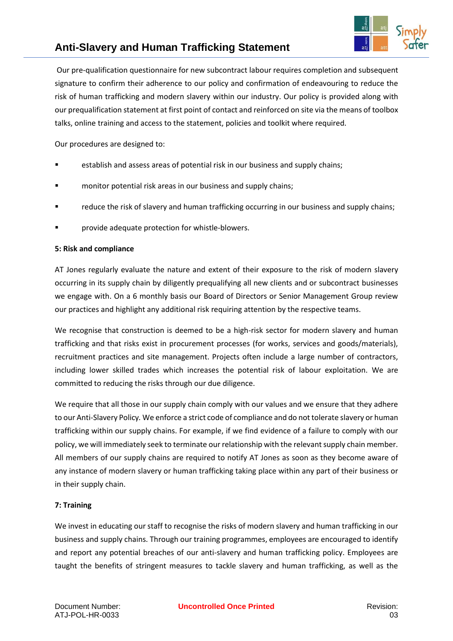

# **Anti-Slavery and Human Trafficking Statement**

Our pre-qualification questionnaire for new subcontract labour requires completion and subsequent signature to confirm their adherence to our policy and confirmation of endeavouring to reduce the risk of human trafficking and modern slavery within our industry. Our policy is provided along with our prequalification statement at first point of contact and reinforced on site via the means of toolbox talks, online training and access to the statement, policies and toolkit where required.

Our procedures are designed to:

- establish and assess areas of potential risk in our business and supply chains;
- monitor potential risk areas in our business and supply chains;
- reduce the risk of slavery and human trafficking occurring in our business and supply chains;
- provide adequate protection for whistle-blowers.

### **5: Risk and compliance**

AT Jones regularly evaluate the nature and extent of their exposure to the risk of modern slavery occurring in its supply chain by diligently prequalifying all new clients and or subcontract businesses we engage with. On a 6 monthly basis our Board of Directors or Senior Management Group review our practices and highlight any additional risk requiring attention by the respective teams.

We recognise that construction is deemed to be a high-risk sector for modern slavery and human trafficking and that risks exist in procurement processes (for works, services and goods/materials), recruitment practices and site management. Projects often include a large number of contractors, including lower skilled trades which increases the potential risk of labour exploitation. We are committed to reducing the risks through our due diligence.

We require that all those in our supply chain comply with our values and we ensure that they adhere to our Anti-Slavery Policy*.* We enforce a strict code of compliance and do not tolerate slavery or human trafficking within our supply chains. For example, if we find evidence of a failure to comply with our policy, we will immediately seek to terminate our relationship with the relevant supply chain member. All members of our supply chains are required to notify AT Jones as soon as they become aware of any instance of modern slavery or human trafficking taking place within any part of their business or in their supply chain.

### **7: Training**

We invest in educating our staff to recognise the risks of modern slavery and human trafficking in our business and supply chains. Through our training programmes, employees are encouraged to identify and report any potential breaches of our anti-slavery and human trafficking policy. Employees are taught the benefits of stringent measures to tackle slavery and human trafficking, as well as the